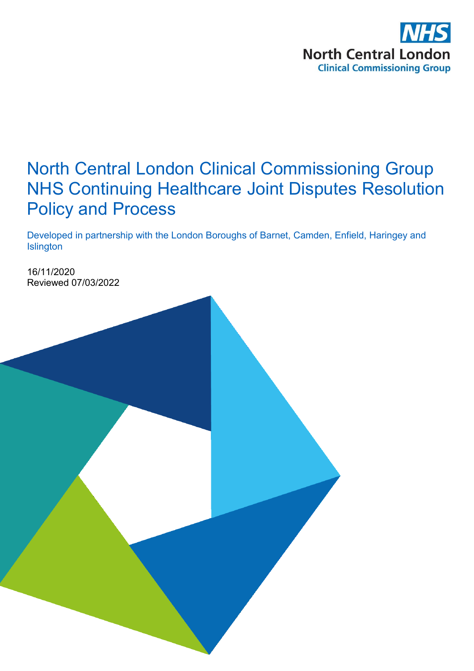

# North Central London Clinical Commissioning Group NHS Continuing Healthcare Joint Disputes Resolution Policy and Process

Developed in partnership with the London Boroughs of Barnet, Camden, Enfield, Haringey and **Islington** 

16/11/2020 Reviewed 07/03/2022

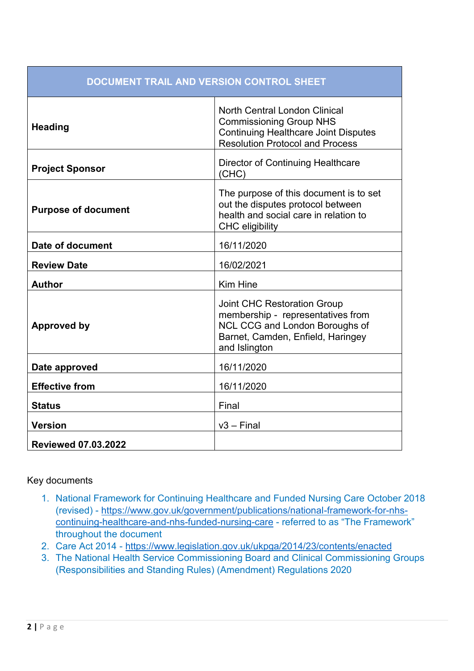| <b>DOCUMENT TRAIL AND VERSION CONTROL SHEET</b> |                                                                                                                                                                 |  |
|-------------------------------------------------|-----------------------------------------------------------------------------------------------------------------------------------------------------------------|--|
| <b>Heading</b>                                  | <b>North Central London Clinical</b><br><b>Commissioning Group NHS</b><br><b>Continuing Healthcare Joint Disputes</b><br><b>Resolution Protocol and Process</b> |  |
| <b>Project Sponsor</b>                          | Director of Continuing Healthcare<br>(CHC)                                                                                                                      |  |
| <b>Purpose of document</b>                      | The purpose of this document is to set<br>out the disputes protocol between<br>health and social care in relation to<br><b>CHC</b> eligibility                  |  |
| Date of document                                | 16/11/2020                                                                                                                                                      |  |
| <b>Review Date</b>                              | 16/02/2021                                                                                                                                                      |  |
| <b>Author</b>                                   | <b>Kim Hine</b>                                                                                                                                                 |  |
| <b>Approved by</b>                              | <b>Joint CHC Restoration Group</b><br>membership - representatives from<br>NCL CCG and London Boroughs of<br>Barnet, Camden, Enfield, Haringey<br>and Islington |  |
| Date approved                                   | 16/11/2020                                                                                                                                                      |  |
| <b>Effective from</b>                           | 16/11/2020                                                                                                                                                      |  |
| <b>Status</b>                                   | Final                                                                                                                                                           |  |
| <b>Version</b>                                  | $v3 - Final$                                                                                                                                                    |  |
| <b>Reviewed 07.03.2022</b>                      |                                                                                                                                                                 |  |

### Key documents

- 1. National Framework for Continuing Healthcare and Funded Nursing Care October 2018 (revised) - [https://www.gov.uk/government/publications/national-framework-for-nhs](https://www.gov.uk/government/publications/national-framework-for-nhs-continuing-healthcare-and-nhs-funded-nursing-care)[continuing-healthcare-and-nhs-funded-nursing-care](https://www.gov.uk/government/publications/national-framework-for-nhs-continuing-healthcare-and-nhs-funded-nursing-care) - referred to as "The Framework" throughout the document
- 2. Care Act 2014 <https://www.legislation.gov.uk/ukpga/2014/23/contents/enacted>
- 3. The National Health Service Commissioning Board and Clinical Commissioning Groups (Responsibilities and Standing Rules) (Amendment) Regulations 2020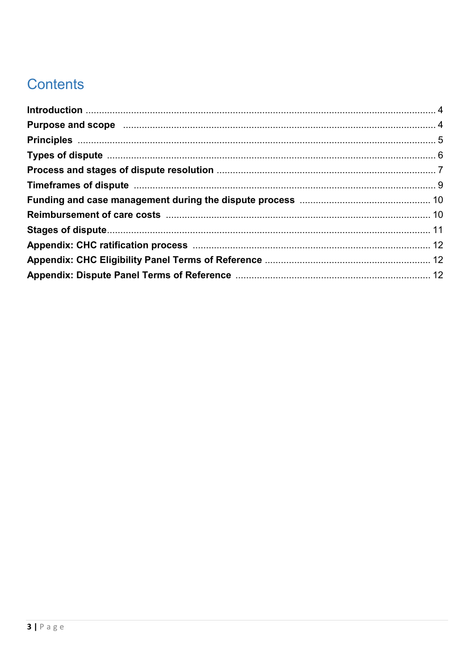# **Contents**

| Purpose and scope manufactured and scope of the manufactured and scope manufactured and scope manufactured and   |  |
|------------------------------------------------------------------------------------------------------------------|--|
|                                                                                                                  |  |
|                                                                                                                  |  |
|                                                                                                                  |  |
| Timeframes of dispute manufactured and the control of the state of dispute manufactured and the state of dispute |  |
|                                                                                                                  |  |
|                                                                                                                  |  |
|                                                                                                                  |  |
|                                                                                                                  |  |
|                                                                                                                  |  |
|                                                                                                                  |  |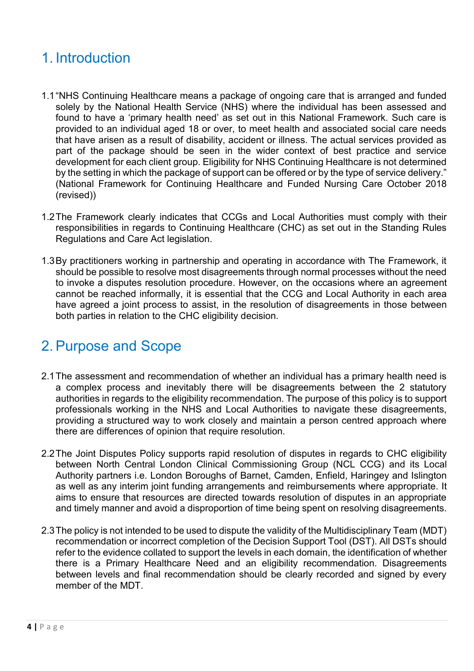# 1. Introduction

- 1.1"NHS Continuing Healthcare means a package of ongoing care that is arranged and funded solely by the National Health Service (NHS) where the individual has been assessed and found to have a 'primary health need' as set out in this National Framework. Such care is provided to an individual aged 18 or over, to meet health and associated social care needs that have arisen as a result of disability, accident or illness. The actual services provided as part of the package should be seen in the wider context of best practice and service development for each client group. Eligibility for NHS Continuing Healthcare is not determined by the setting in which the package of support can be offered or by the type of service delivery." (National Framework for Continuing Healthcare and Funded Nursing Care October 2018 (revised))
- 1.2The Framework clearly indicates that CCGs and Local Authorities must comply with their responsibilities in regards to Continuing Healthcare (CHC) as set out in the Standing Rules Regulations and Care Act legislation.
- 1.3By practitioners working in partnership and operating in accordance with The Framework, it should be possible to resolve most disagreements through normal processes without the need to invoke a disputes resolution procedure. However, on the occasions where an agreement cannot be reached informally, it is essential that the CCG and Local Authority in each area have agreed a joint process to assist, in the resolution of disagreements in those between both parties in relation to the CHC eligibility decision.

# 2. Purpose and Scope

- 2.1The assessment and recommendation of whether an individual has a primary health need is a complex process and inevitably there will be disagreements between the 2 statutory authorities in regards to the eligibility recommendation. The purpose of this policy is to support professionals working in the NHS and Local Authorities to navigate these disagreements, providing a structured way to work closely and maintain a person centred approach where there are differences of opinion that require resolution.
- 2.2The Joint Disputes Policy supports rapid resolution of disputes in regards to CHC eligibility between North Central London Clinical Commissioning Group (NCL CCG) and its Local Authority partners i.e. London Boroughs of Barnet, Camden, Enfield, Haringey and Islington as well as any interim joint funding arrangements and reimbursements where appropriate. It aims to ensure that resources are directed towards resolution of disputes in an appropriate and timely manner and avoid a disproportion of time being spent on resolving disagreements.
- 2.3The policy is not intended to be used to dispute the validity of the Multidisciplinary Team (MDT) recommendation or incorrect completion of the Decision Support Tool (DST). All DSTs should refer to the evidence collated to support the levels in each domain, the identification of whether there is a Primary Healthcare Need and an eligibility recommendation. Disagreements between levels and final recommendation should be clearly recorded and signed by every member of the MDT.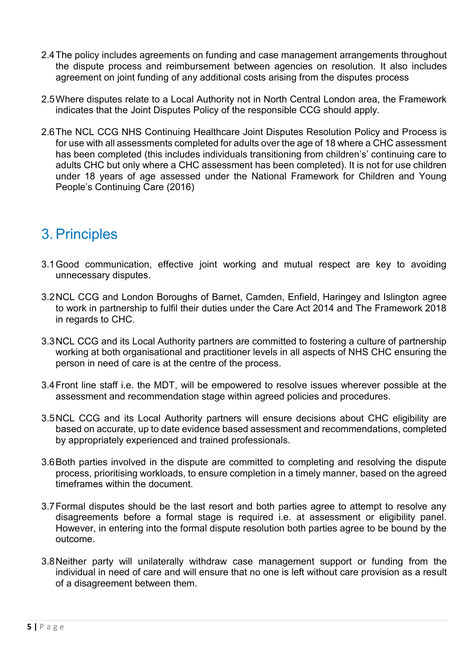- 2.4The policy includes agreements on funding and case management arrangements throughout the dispute process and reimbursement between agencies on resolution. It also includes agreement on joint funding of any additional costs arising from the disputes process
- 2.5Where disputes relate to a Local Authority not in North Central London area, the Framework indicates that the Joint Disputes Policy of the responsible CCG should apply.
- 2.6The NCL CCG NHS Continuing Healthcare Joint Disputes Resolution Policy and Process is for use with all assessments completed for adults over the age of 18 where a CHC assessment has been completed (this includes individuals transitioning from children's' continuing care to adults CHC but only where a CHC assessment has been completed). It is not for use children under 18 years of age assessed under the National Framework for Children and Young People's Continuing Care (2016)

# 3. Principles

- 3.1Good communication, effective joint working and mutual respect are key to avoiding unnecessary disputes.
- 3.2NCL CCG and London Boroughs of Barnet, Camden, Enfield, Haringey and Islington agree to work in partnership to fulfil their duties under the Care Act 2014 and The Framework 2018 in regards to CHC.
- 3.3NCL CCG and its Local Authority partners are committed to fostering a culture of partnership working at both organisational and practitioner levels in all aspects of NHS CHC ensuring the person in need of care is at the centre of the process.
- 3.4Front line staff i.e. the MDT, will be empowered to resolve issues wherever possible at the assessment and recommendation stage within agreed policies and procedures.
- 3.5NCL CCG and its Local Authority partners will ensure decisions about CHC eligibility are based on accurate, up to date evidence based assessment and recommendations, completed by appropriately experienced and trained professionals.
- 3.6Both parties involved in the dispute are committed to completing and resolving the dispute process, prioritising workloads, to ensure completion in a timely manner, based on the agreed timeframes within the document.
- 3.7Formal disputes should be the last resort and both parties agree to attempt to resolve any disagreements before a formal stage is required i.e. at assessment or eligibility panel. However, in entering into the formal dispute resolution both parties agree to be bound by the outcome.
- 3.8Neither party will unilaterally withdraw case management support or funding from the individual in need of care and will ensure that no one is left without care provision as a result of a disagreement between them.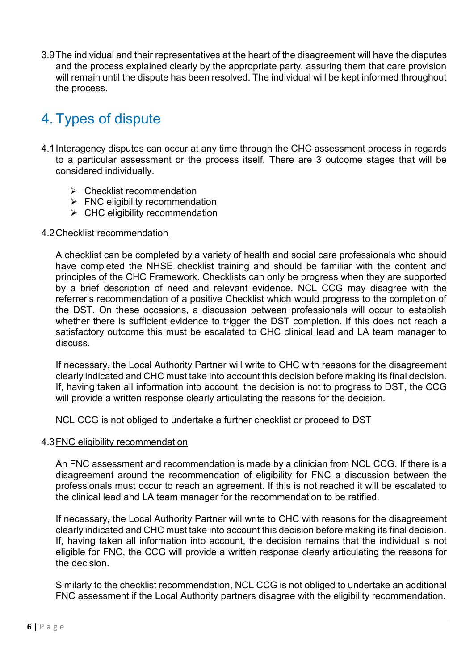3.9The individual and their representatives at the heart of the disagreement will have the disputes and the process explained clearly by the appropriate party, assuring them that care provision will remain until the dispute has been resolved. The individual will be kept informed throughout the process.

# 4. Types of dispute

- 4.1Interagency disputes can occur at any time through the CHC assessment process in regards to a particular assessment or the process itself. There are 3 outcome stages that will be considered individually.
	- $\triangleright$  Checklist recommendation
	- $\triangleright$  FNC eligibility recommendation
	- $\triangleright$  CHC eligibility recommendation

### 4.2Checklist recommendation

A checklist can be completed by a variety of health and social care professionals who should have completed the NHSE checklist training and should be familiar with the content and principles of the CHC Framework. Checklists can only be progress when they are supported by a brief description of need and relevant evidence. NCL CCG may disagree with the referrer's recommendation of a positive Checklist which would progress to the completion of the DST. On these occasions, a discussion between professionals will occur to establish whether there is sufficient evidence to trigger the DST completion. If this does not reach a satisfactory outcome this must be escalated to CHC clinical lead and LA team manager to discuss.

If necessary, the Local Authority Partner will write to CHC with reasons for the disagreement clearly indicated and CHC must take into account this decision before making its final decision. If, having taken all information into account, the decision is not to progress to DST, the CCG will provide a written response clearly articulating the reasons for the decision.

NCL CCG is not obliged to undertake a further checklist or proceed to DST

### 4.3FNC eligibility recommendation

An FNC assessment and recommendation is made by a clinician from NCL CCG. If there is a disagreement around the recommendation of eligibility for FNC a discussion between the professionals must occur to reach an agreement. If this is not reached it will be escalated to the clinical lead and LA team manager for the recommendation to be ratified.

If necessary, the Local Authority Partner will write to CHC with reasons for the disagreement clearly indicated and CHC must take into account this decision before making its final decision. If, having taken all information into account, the decision remains that the individual is not eligible for FNC, the CCG will provide a written response clearly articulating the reasons for the decision.

Similarly to the checklist recommendation, NCL CCG is not obliged to undertake an additional FNC assessment if the Local Authority partners disagree with the eligibility recommendation.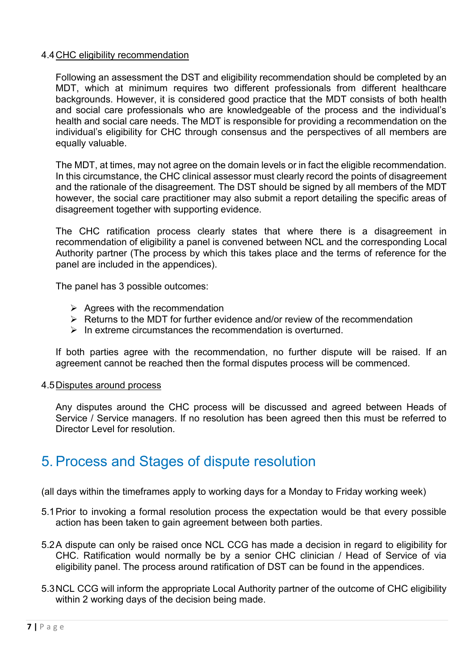### 4.4CHC eligibility recommendation

Following an assessment the DST and eligibility recommendation should be completed by an MDT, which at minimum requires two different professionals from different healthcare backgrounds. However, it is considered good practice that the MDT consists of both health and social care professionals who are knowledgeable of the process and the individual's health and social care needs. The MDT is responsible for providing a recommendation on the individual's eligibility for CHC through consensus and the perspectives of all members are equally valuable.

The MDT, at times, may not agree on the domain levels or in fact the eligible recommendation. In this circumstance, the CHC clinical assessor must clearly record the points of disagreement and the rationale of the disagreement. The DST should be signed by all members of the MDT however, the social care practitioner may also submit a report detailing the specific areas of disagreement together with supporting evidence.

The CHC ratification process clearly states that where there is a disagreement in recommendation of eligibility a panel is convened between NCL and the corresponding Local Authority partner (The process by which this takes place and the terms of reference for the panel are included in the appendices).

The panel has 3 possible outcomes:

- $\triangleright$  Agrees with the recommendation
- $\triangleright$  Returns to the MDT for further evidence and/or review of the recommendation
- $\triangleright$  In extreme circumstances the recommendation is overturned.

If both parties agree with the recommendation, no further dispute will be raised. If an agreement cannot be reached then the formal disputes process will be commenced.

### 4.5Disputes around process

Any disputes around the CHC process will be discussed and agreed between Heads of Service / Service managers. If no resolution has been agreed then this must be referred to Director Level for resolution

### 5. Process and Stages of dispute resolution

(all days within the timeframes apply to working days for a Monday to Friday working week)

- 5.1Prior to invoking a formal resolution process the expectation would be that every possible action has been taken to gain agreement between both parties.
- 5.2A dispute can only be raised once NCL CCG has made a decision in regard to eligibility for CHC. Ratification would normally be by a senior CHC clinician / Head of Service of via eligibility panel. The process around ratification of DST can be found in the appendices.
- 5.3NCL CCG will inform the appropriate Local Authority partner of the outcome of CHC eligibility within 2 working days of the decision being made.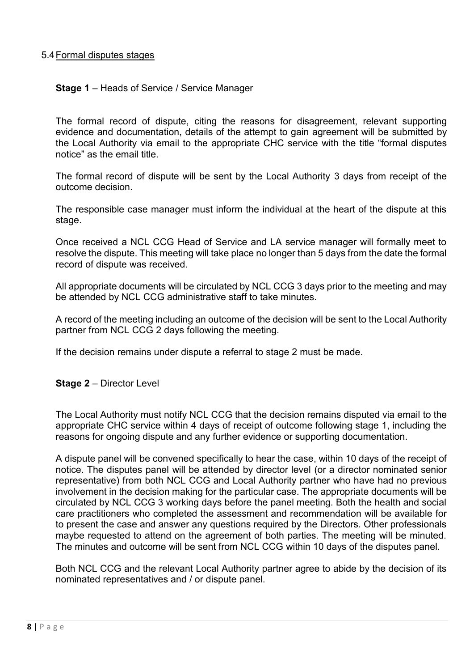### 5.4Formal disputes stages

#### **Stage 1** – Heads of Service / Service Manager

The formal record of dispute, citing the reasons for disagreement, relevant supporting evidence and documentation, details of the attempt to gain agreement will be submitted by the Local Authority via email to the appropriate CHC service with the title "formal disputes notice" as the email title.

The formal record of dispute will be sent by the Local Authority 3 days from receipt of the outcome decision.

The responsible case manager must inform the individual at the heart of the dispute at this stage.

Once received a NCL CCG Head of Service and LA service manager will formally meet to resolve the dispute. This meeting will take place no longer than 5 days from the date the formal record of dispute was received.

All appropriate documents will be circulated by NCL CCG 3 days prior to the meeting and may be attended by NCL CCG administrative staff to take minutes.

A record of the meeting including an outcome of the decision will be sent to the Local Authority partner from NCL CCG 2 days following the meeting.

If the decision remains under dispute a referral to stage 2 must be made.

#### **Stage 2** – Director Level

The Local Authority must notify NCL CCG that the decision remains disputed via email to the appropriate CHC service within 4 days of receipt of outcome following stage 1, including the reasons for ongoing dispute and any further evidence or supporting documentation.

A dispute panel will be convened specifically to hear the case, within 10 days of the receipt of notice. The disputes panel will be attended by director level (or a director nominated senior representative) from both NCL CCG and Local Authority partner who have had no previous involvement in the decision making for the particular case. The appropriate documents will be circulated by NCL CCG 3 working days before the panel meeting. Both the health and social care practitioners who completed the assessment and recommendation will be available for to present the case and answer any questions required by the Directors. Other professionals maybe requested to attend on the agreement of both parties. The meeting will be minuted. The minutes and outcome will be sent from NCL CCG within 10 days of the disputes panel.

Both NCL CCG and the relevant Local Authority partner agree to abide by the decision of its nominated representatives and / or dispute panel.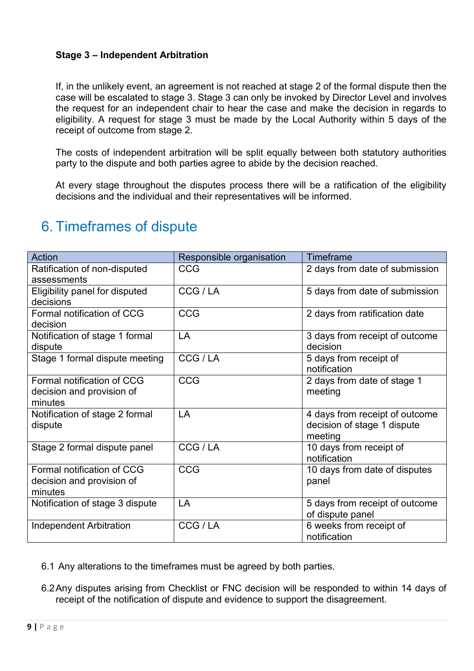### **Stage 3 – Independent Arbitration**

If, in the unlikely event, an agreement is not reached at stage 2 of the formal dispute then the case will be escalated to stage 3. Stage 3 can only be invoked by Director Level and involves the request for an independent chair to hear the case and make the decision in regards to eligibility. A request for stage 3 must be made by the Local Authority within 5 days of the receipt of outcome from stage 2.

The costs of independent arbitration will be split equally between both statutory authorities party to the dispute and both parties agree to abide by the decision reached.

At every stage throughout the disputes process there will be a ratification of the eligibility decisions and the individual and their representatives will be informed.

| <b>Action</b>                               | Responsible organisation | <b>Timeframe</b>               |
|---------------------------------------------|--------------------------|--------------------------------|
| Ratification of non-disputed<br>assessments | <b>CCG</b>               | 2 days from date of submission |
|                                             |                          |                                |
| Eligibility panel for disputed              | CCG / LA                 | 5 days from date of submission |
| decisions                                   |                          |                                |
| Formal notification of CCG                  | <b>CCG</b>               | 2 days from ratification date  |
| decision                                    |                          |                                |
| Notification of stage 1 formal              | LA                       | 3 days from receipt of outcome |
| dispute                                     |                          | decision                       |
| Stage 1 formal dispute meeting              | CCG / LA                 | 5 days from receipt of         |
|                                             |                          | notification                   |
| Formal notification of CCG                  | <b>CCG</b>               | 2 days from date of stage 1    |
| decision and provision of                   |                          | meeting                        |
| minutes                                     |                          |                                |
| Notification of stage 2 formal              | LA                       | 4 days from receipt of outcome |
| dispute                                     |                          | decision of stage 1 dispute    |
|                                             |                          | meeting                        |
| Stage 2 formal dispute panel                | CCG/LA                   | 10 days from receipt of        |
|                                             |                          | notification                   |
| Formal notification of CCG                  | <b>CCG</b>               | 10 days from date of disputes  |
| decision and provision of                   |                          | panel                          |
| minutes                                     |                          |                                |
| Notification of stage 3 dispute             | LA                       | 5 days from receipt of outcome |
|                                             |                          | of dispute panel               |
| <b>Independent Arbitration</b>              | CCG / LA                 | 6 weeks from receipt of        |
|                                             |                          | notification                   |

# 6. Timeframes of dispute

- 6.1 Any alterations to the timeframes must be agreed by both parties.
- 6.2Any disputes arising from Checklist or FNC decision will be responded to within 14 days of receipt of the notification of dispute and evidence to support the disagreement.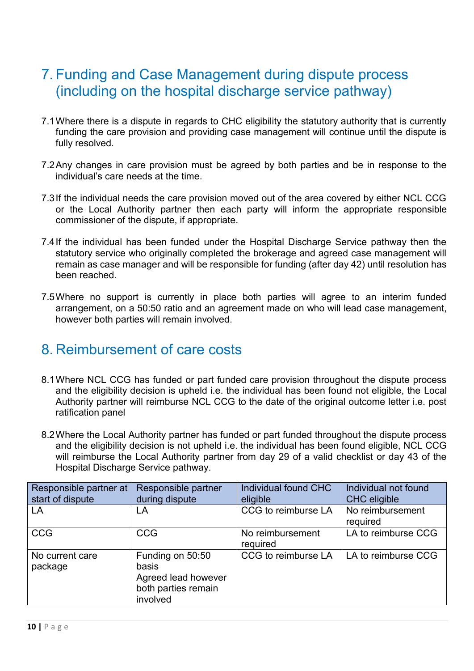# 7. Funding and Case Management during dispute process (including on the hospital discharge service pathway)

- 7.1Where there is a dispute in regards to CHC eligibility the statutory authority that is currently funding the care provision and providing case management will continue until the dispute is fully resolved.
- 7.2Any changes in care provision must be agreed by both parties and be in response to the individual's care needs at the time.
- 7.3If the individual needs the care provision moved out of the area covered by either NCL CCG or the Local Authority partner then each party will inform the appropriate responsible commissioner of the dispute, if appropriate.
- 7.4If the individual has been funded under the Hospital Discharge Service pathway then the statutory service who originally completed the brokerage and agreed case management will remain as case manager and will be responsible for funding (after day 42) until resolution has been reached.
- 7.5Where no support is currently in place both parties will agree to an interim funded arrangement, on a 50:50 ratio and an agreement made on who will lead case management, however both parties will remain involved.

### 8. Reimbursement of care costs

- 8.1Where NCL CCG has funded or part funded care provision throughout the dispute process and the eligibility decision is upheld i.e. the individual has been found not eligible, the Local Authority partner will reimburse NCL CCG to the date of the original outcome letter i.e. post ratification panel
- 8.2Where the Local Authority partner has funded or part funded throughout the dispute process and the eligibility decision is not upheld i.e. the individual has been found eligible, NCL CCG will reimburse the Local Authority partner from day 29 of a valid checklist or day 43 of the Hospital Discharge Service pathway.

| Responsible partner at     | Responsible partner                                                                 | Individual found CHC         | Individual not found         |
|----------------------------|-------------------------------------------------------------------------------------|------------------------------|------------------------------|
| start of dispute           | during dispute                                                                      | eligible                     | <b>CHC</b> eligible          |
| LA                         | LA                                                                                  | CCG to reimburse LA          | No reimbursement<br>required |
| <b>CCG</b>                 | <b>CCG</b>                                                                          | No reimbursement<br>required | LA to reimburse CCG          |
| No current care<br>package | Funding on 50:50<br>basis<br>Agreed lead however<br>both parties remain<br>involved | CCG to reimburse LA          | LA to reimburse CCG          |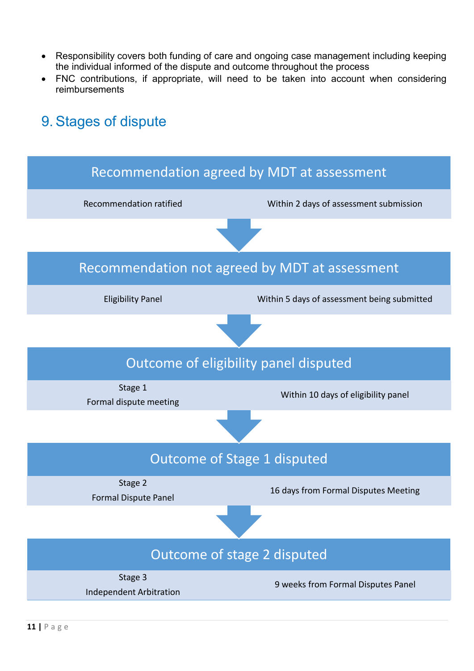- Responsibility covers both funding of care and ongoing case management including keeping the individual informed of the dispute and outcome throughout the process
- FNC contributions, if appropriate, will need to be taken into account when considering reimbursements

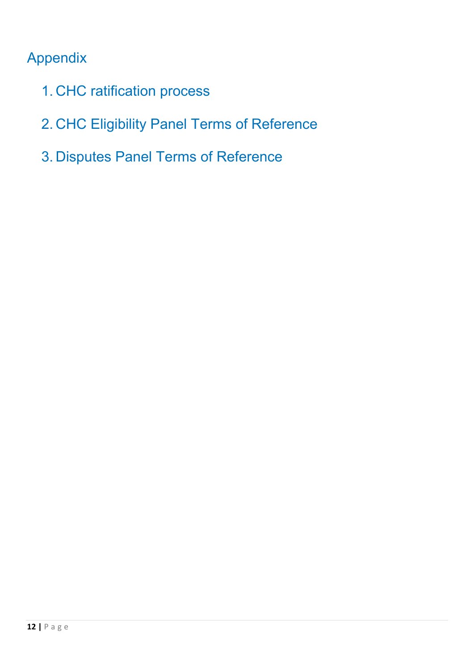# Appendix

- 1. CHC ratification process
- 2. CHC Eligibility Panel Terms of Reference
- 3. Disputes Panel Terms of Reference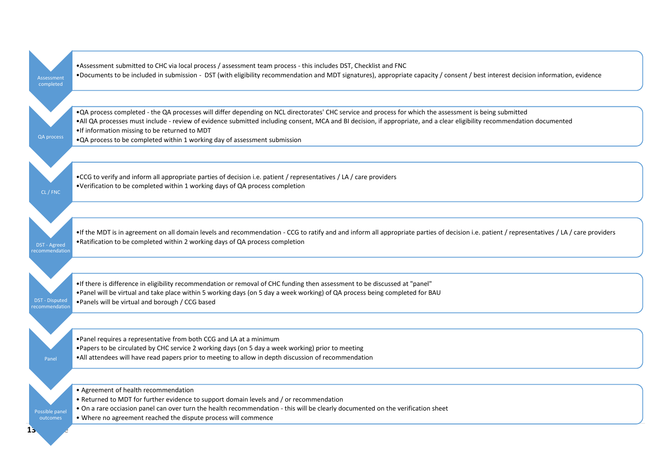| Assessment<br>completed                | . Assessment submitted to CHC via local process / assessment team process - this includes DST, Checklist and FNC<br>. Documents to be included in submission - DST (with eligibility recommendation and MDT signatures), appropriate capacity / consent / best interest decision information, evidence                                                                                                                                                               |
|----------------------------------------|----------------------------------------------------------------------------------------------------------------------------------------------------------------------------------------------------------------------------------------------------------------------------------------------------------------------------------------------------------------------------------------------------------------------------------------------------------------------|
| <b>QA process</b>                      | . QA process completed - the QA processes will differ depending on NCL directorates' CHC service and process for which the assessment is being submitted<br>. All QA processes must include - review of evidence submitted including consent, MCA and BI decision, if appropriate, and a clear eligibility recommendation documented<br>. If information missing to be returned to MDT<br>. QA process to be completed within 1 working day of assessment submission |
| CL / FNC                               | . CGG to verify and inform all appropriate parties of decision i.e. patient / representatives / LA / care providers<br>•Verification to be completed within 1 working days of QA process completion                                                                                                                                                                                                                                                                  |
| DST - Agreed<br>ecommendatior          | . If the MDT is in agreement on all domain levels and recommendation - CCG to ratify and and inform all appropriate parties of decision i.e. patient / representatives / LA / care providers<br>. Ratification to be completed within 2 working days of QA process completion                                                                                                                                                                                        |
| <b>DST</b> - Disputed<br>ecommendatior | • If there is difference in eligibility recommendation or removal of CHC funding then assessment to be discussed at "panel"<br>. Panel will be virtual and take place within 5 working days (on 5 day a week working) of QA process being completed for BAU<br>. Panels will be virtual and borough / CCG based                                                                                                                                                      |
| Panel                                  | . Panel requires a representative from both CCG and LA at a minimum<br>. Papers to be circulated by CHC service 2 working days (on 5 day a week working) prior to meeting<br>. All attendees will have read papers prior to meeting to allow in depth discussion of recommendation                                                                                                                                                                                   |
| Possible pane<br>outcomes<br>LS.       | • Agreement of health recommendation<br>. Returned to MDT for further evidence to support domain levels and / or recommendation<br>. On a rare occiasion panel can over turn the health recommendation - this will be clearly documented on the verification sheet<br>. Where no agreement reached the dispute process will commence                                                                                                                                 |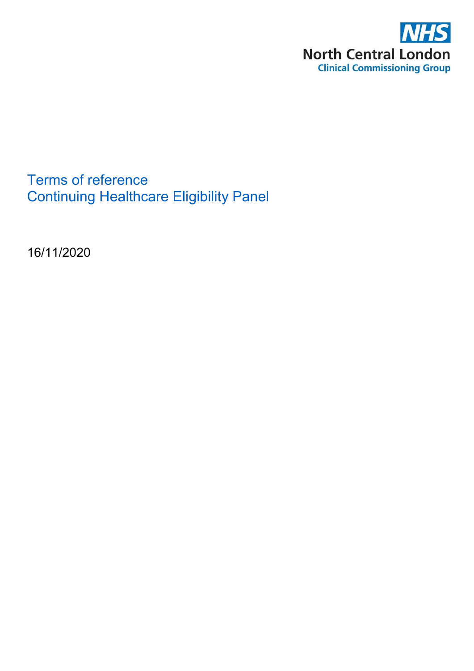

Terms of reference Continuing Healthcare Eligibility Panel

16/11/2020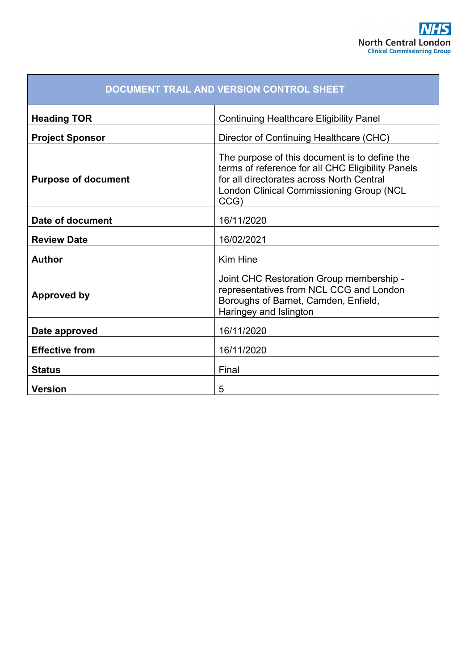| DOCUMENT TRAIL AND VERSION CONTROL SHEET |                                                                                                                                                                                                     |  |
|------------------------------------------|-----------------------------------------------------------------------------------------------------------------------------------------------------------------------------------------------------|--|
| <b>Heading TOR</b>                       | <b>Continuing Healthcare Eligibility Panel</b>                                                                                                                                                      |  |
| <b>Project Sponsor</b>                   | Director of Continuing Healthcare (CHC)                                                                                                                                                             |  |
| <b>Purpose of document</b>               | The purpose of this document is to define the<br>terms of reference for all CHC Eligibility Panels<br>for all directorates across North Central<br>London Clinical Commissioning Group (NCL<br>CCG) |  |
| Date of document                         | 16/11/2020                                                                                                                                                                                          |  |
| <b>Review Date</b>                       | 16/02/2021                                                                                                                                                                                          |  |
| <b>Author</b>                            | <b>Kim Hine</b>                                                                                                                                                                                     |  |
| Approved by                              | Joint CHC Restoration Group membership -<br>representatives from NCL CCG and London<br>Boroughs of Barnet, Camden, Enfield,<br>Haringey and Islington                                               |  |
| Date approved                            | 16/11/2020                                                                                                                                                                                          |  |
| <b>Effective from</b>                    | 16/11/2020                                                                                                                                                                                          |  |
| <b>Status</b>                            | Final                                                                                                                                                                                               |  |
| <b>Version</b>                           | 5                                                                                                                                                                                                   |  |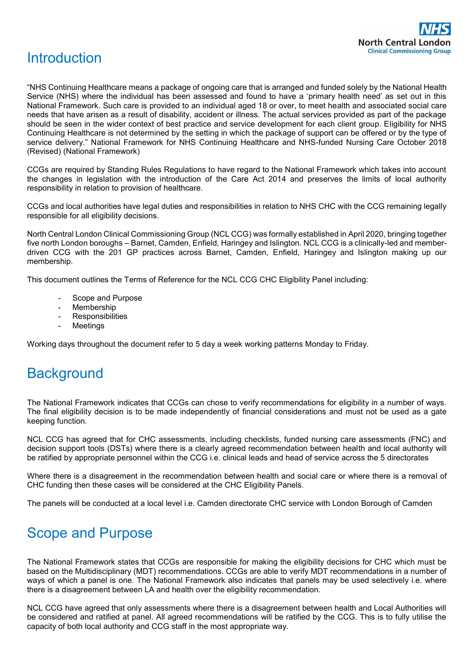

# **Introduction**

"NHS Continuing Healthcare means a package of ongoing care that is arranged and funded solely by the National Health Service (NHS) where the individual has been assessed and found to have a 'primary health need' as set out in this National Framework. Such care is provided to an individual aged 18 or over, to meet health and associated social care needs that have arisen as a result of disability, accident or illness. The actual services provided as part of the package should be seen in the wider context of best practice and service development for each client group. Eligibility for NHS Continuing Healthcare is not determined by the setting in which the package of support can be offered or by the type of service delivery." National Framework for NHS Continuing Healthcare and NHS-funded Nursing Care October 2018 (Revised) (National Framework)

CCGs are required by Standing Rules Regulations to have regard to the National Framework which takes into account the changes in legislation with the introduction of the Care Act 2014 and preserves the limits of local authority responsibility in relation to provision of healthcare.

CCGs and local authorities have legal duties and responsibilities in relation to NHS CHC with the CCG remaining legally responsible for all eligibility decisions.

North Central London Clinical Commissioning Group (NCL CCG) was formally established in April 2020, bringing together five north London boroughs – Barnet, Camden, Enfield, Haringey and Islington. NCL CCG is a clinically-led and memberdriven CCG with the 201 GP practices across Barnet, Camden, Enfield, Haringey and Islington making up our membership.

This document outlines the Terms of Reference for the NCL CCG CHC Eligibility Panel including:

- Scope and Purpose
- Membership
- Responsibilities
- **Meetings**

Working days throughout the document refer to 5 day a week working patterns Monday to Friday.

### **Background**

The National Framework indicates that CCGs can chose to verify recommendations for eligibility in a number of ways. The final eligibility decision is to be made independently of financial considerations and must not be used as a gate keeping function.

NCL CCG has agreed that for CHC assessments, including checklists, funded nursing care assessments (FNC) and decision support tools (DSTs) where there is a clearly agreed recommendation between health and local authority will be ratified by appropriate personnel within the CCG i.e. clinical leads and head of service across the 5 directorates

Where there is a disagreement in the recommendation between health and social care or where there is a removal of CHC funding then these cases will be considered at the CHC Eligibility Panels.

The panels will be conducted at a local level i.e. Camden directorate CHC service with London Borough of Camden

# Scope and Purpose

The National Framework states that CCGs are responsible for making the eligibility decisions for CHC which must be based on the Multidisciplinary (MDT) recommendations. CCGs are able to verify MDT recommendations in a number of ways of which a panel is one. The National Framework also indicates that panels may be used selectively i.e. where there is a disagreement between LA and health over the eligibility recommendation.

NCL CCG have agreed that only assessments where there is a disagreement between health and Local Authorities will be considered and ratified at panel. All agreed recommendations will be ratified by the CCG. This is to fully utilise the capacity of both local authority and CCG staff in the most appropriate way.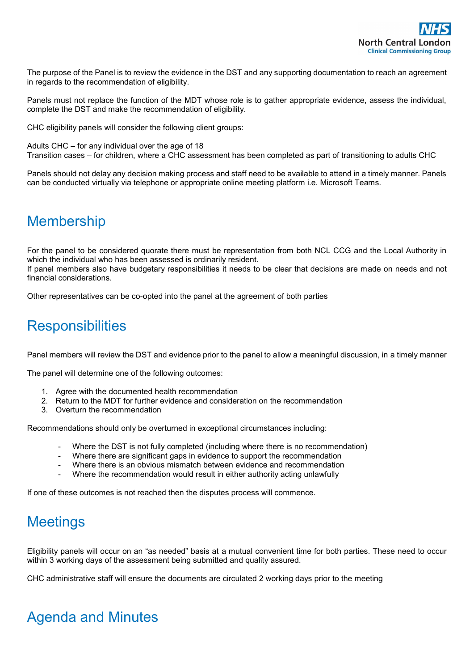The purpose of the Panel is to review the evidence in the DST and any supporting documentation to reach an agreement in regards to the recommendation of eligibility.

Panels must not replace the function of the MDT whose role is to gather appropriate evidence, assess the individual, complete the DST and make the recommendation of eligibility.

CHC eligibility panels will consider the following client groups:

Adults CHC – for any individual over the age of 18 Transition cases – for children, where a CHC assessment has been completed as part of transitioning to adults CHC

Panels should not delay any decision making process and staff need to be available to attend in a timely manner. Panels can be conducted virtually via telephone or appropriate online meeting platform i.e. Microsoft Teams.

# Membership

For the panel to be considered quorate there must be representation from both NCL CCG and the Local Authority in which the individual who has been assessed is ordinarily resident. If panel members also have budgetary responsibilities it needs to be clear that decisions are made on needs and not financial considerations.

Other representatives can be co-opted into the panel at the agreement of both parties

# **Responsibilities**

Panel members will review the DST and evidence prior to the panel to allow a meaningful discussion, in a timely manner

The panel will determine one of the following outcomes:

- 1. Agree with the documented health recommendation
- 2. Return to the MDT for further evidence and consideration on the recommendation
- 3. Overturn the recommendation

Recommendations should only be overturned in exceptional circumstances including:

- Where the DST is not fully completed (including where there is no recommendation)
- Where there are significant gaps in evidence to support the recommendation
- Where there is an obvious mismatch between evidence and recommendation
- Where the recommendation would result in either authority acting unlawfully

If one of these outcomes is not reached then the disputes process will commence.

# **Meetings**

Eligibility panels will occur on an "as needed" basis at a mutual convenient time for both parties. These need to occur within 3 working days of the assessment being submitted and quality assured.

CHC administrative staff will ensure the documents are circulated 2 working days prior to the meeting

# Agenda and Minutes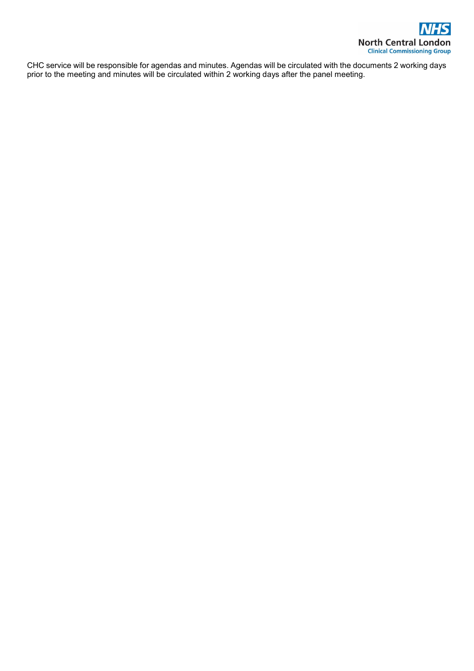

CHC service will be responsible for agendas and minutes. Agendas will be circulated with the documents 2 working days prior to the meeting and minutes will be circulated within 2 working days after the panel meeting.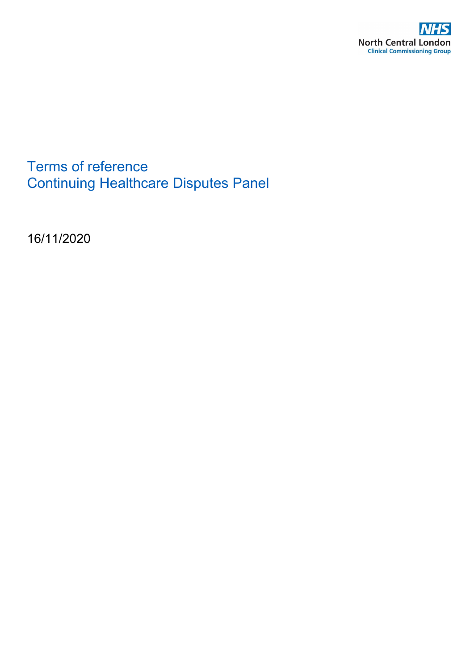

Terms of reference Continuing Healthcare Disputes Panel

16/11/2020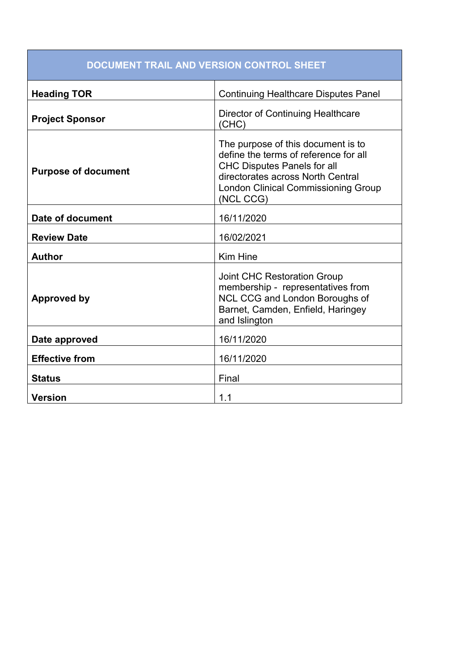| <b>DOCUMENT TRAIL AND VERSION CONTROL SHEET</b> |                                                                                                                                                                                                                   |  |
|-------------------------------------------------|-------------------------------------------------------------------------------------------------------------------------------------------------------------------------------------------------------------------|--|
| <b>Heading TOR</b>                              | <b>Continuing Healthcare Disputes Panel</b>                                                                                                                                                                       |  |
| <b>Project Sponsor</b>                          | Director of Continuing Healthcare<br>(CHC)                                                                                                                                                                        |  |
| <b>Purpose of document</b>                      | The purpose of this document is to<br>define the terms of reference for all<br><b>CHC Disputes Panels for all</b><br>directorates across North Central<br><b>London Clinical Commissioning Group</b><br>(NCL CCG) |  |
| Date of document                                | 16/11/2020                                                                                                                                                                                                        |  |
| <b>Review Date</b>                              | 16/02/2021                                                                                                                                                                                                        |  |
| <b>Author</b>                                   | Kim Hine                                                                                                                                                                                                          |  |
| <b>Approved by</b>                              | <b>Joint CHC Restoration Group</b><br>membership - representatives from<br>NCL CCG and London Boroughs of<br>Barnet, Camden, Enfield, Haringey<br>and Islington                                                   |  |
| Date approved                                   | 16/11/2020                                                                                                                                                                                                        |  |
| <b>Effective from</b>                           | 16/11/2020                                                                                                                                                                                                        |  |
| <b>Status</b>                                   | Final                                                                                                                                                                                                             |  |
| <b>Version</b>                                  | 1.1                                                                                                                                                                                                               |  |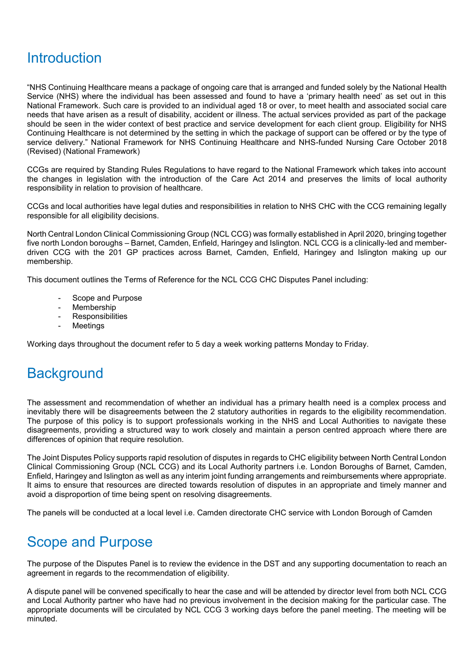# **Introduction**

"NHS Continuing Healthcare means a package of ongoing care that is arranged and funded solely by the National Health Service (NHS) where the individual has been assessed and found to have a 'primary health need' as set out in this National Framework. Such care is provided to an individual aged 18 or over, to meet health and associated social care needs that have arisen as a result of disability, accident or illness. The actual services provided as part of the package should be seen in the wider context of best practice and service development for each client group. Eligibility for NHS Continuing Healthcare is not determined by the setting in which the package of support can be offered or by the type of service delivery." National Framework for NHS Continuing Healthcare and NHS-funded Nursing Care October 2018 (Revised) (National Framework)

CCGs are required by Standing Rules Regulations to have regard to the National Framework which takes into account the changes in legislation with the introduction of the Care Act 2014 and preserves the limits of local authority responsibility in relation to provision of healthcare.

CCGs and local authorities have legal duties and responsibilities in relation to NHS CHC with the CCG remaining legally responsible for all eligibility decisions.

North Central London Clinical Commissioning Group (NCL CCG) was formally established in April 2020, bringing together five north London boroughs – Barnet, Camden, Enfield, Haringey and Islington. NCL CCG is a clinically-led and memberdriven CCG with the 201 GP practices across Barnet, Camden, Enfield, Haringey and Islington making up our membership.

This document outlines the Terms of Reference for the NCL CCG CHC Disputes Panel including:

- Scope and Purpose
- Membership
- Responsibilities
- **Meetings**

Working days throughout the document refer to 5 day a week working patterns Monday to Friday.

# **Background**

The assessment and recommendation of whether an individual has a primary health need is a complex process and inevitably there will be disagreements between the 2 statutory authorities in regards to the eligibility recommendation. The purpose of this policy is to support professionals working in the NHS and Local Authorities to navigate these disagreements, providing a structured way to work closely and maintain a person centred approach where there are differences of opinion that require resolution.

The Joint Disputes Policy supports rapid resolution of disputes in regards to CHC eligibility between North Central London Clinical Commissioning Group (NCL CCG) and its Local Authority partners i.e. London Boroughs of Barnet, Camden, Enfield, Haringey and Islington as well as any interim joint funding arrangements and reimbursements where appropriate. It aims to ensure that resources are directed towards resolution of disputes in an appropriate and timely manner and avoid a disproportion of time being spent on resolving disagreements.

The panels will be conducted at a local level i.e. Camden directorate CHC service with London Borough of Camden

# Scope and Purpose

The purpose of the Disputes Panel is to review the evidence in the DST and any supporting documentation to reach an agreement in regards to the recommendation of eligibility.

A dispute panel will be convened specifically to hear the case and will be attended by director level from both NCL CCG and Local Authority partner who have had no previous involvement in the decision making for the particular case. The appropriate documents will be circulated by NCL CCG 3 working days before the panel meeting. The meeting will be minuted.